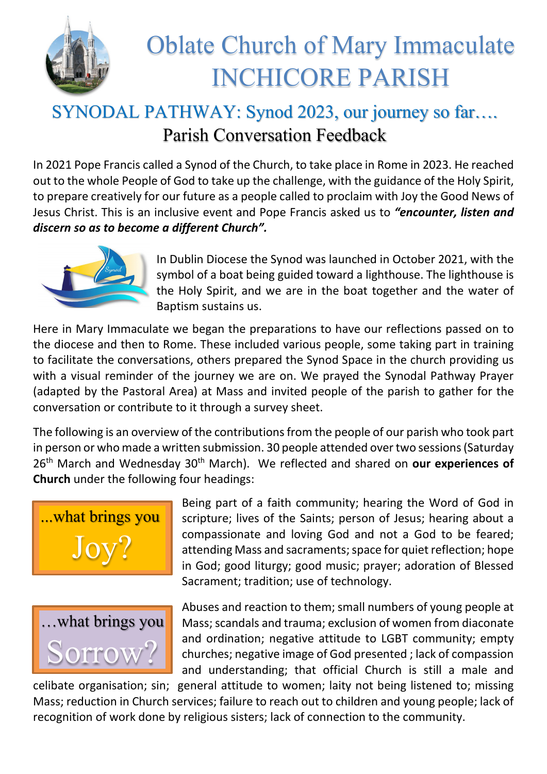

## Oblate Church of Mary Immaculate INCHICORE PARISH

## SYNODAL PATHWAY: Synod 2023, our journey so far…. Parish Conversation Feedback

In 2021 Pope Francis called a Synod of the Church, to take place in Rome in 2023. He reached out to the whole People of God to take up the challenge, with the guidance of the Holy Spirit, to prepare creatively for our future as a people called to proclaim with Joy the Good News of Jesus Christ. This is an inclusive event and Pope Francis asked us to *"encounter, listen and discern so as to become a different Church".*



In Dublin Diocese the Synod was launched in October 2021, with the symbol of a boat being guided toward a lighthouse. The lighthouse is the Holy Spirit, and we are in the boat together and the water of Baptism sustains us.

Here in Mary Immaculate we began the preparations to have our reflections passed on to the diocese and then to Rome. These included various people, some taking part in training to facilitate the conversations, others prepared the Synod Space in the church providing us with a visual reminder of the journey we are on. We prayed the Synodal Pathway Prayer (adapted by the Pastoral Area) at Mass and invited people of the parish to gather for the conversation or contribute to it through a survey sheet.

The following is an overview of the contributions from the people of our parish who took part in person or who made a written submission. 30 people attended over two sessions(Saturday 26th March and Wednesday 30th March). We reflected and shared on **our experiences of Church** under the following four headings:





Being part of a faith community; hearing the Word of God in scripture; lives of the Saints; person of Jesus; hearing about a compassionate and loving God and not a God to be feared; attending Mass and sacraments; space for quiet reflection; hope in God; good liturgy; good music; prayer; adoration of Blessed Sacrament; tradition; use of technology.

Abuses and reaction to them; small numbers of young people at Mass; scandals and trauma; exclusion of women from diaconate and ordination; negative attitude to LGBT community; empty churches; negative image of God presented ; lack of compassion and understanding; that official Church is still a male and

celibate organisation; sin; general attitude to women; laity not being listened to; missing Mass; reduction in Church services; failure to reach out to children and young people; lack of recognition of work done by religious sisters; lack of connection to the community.